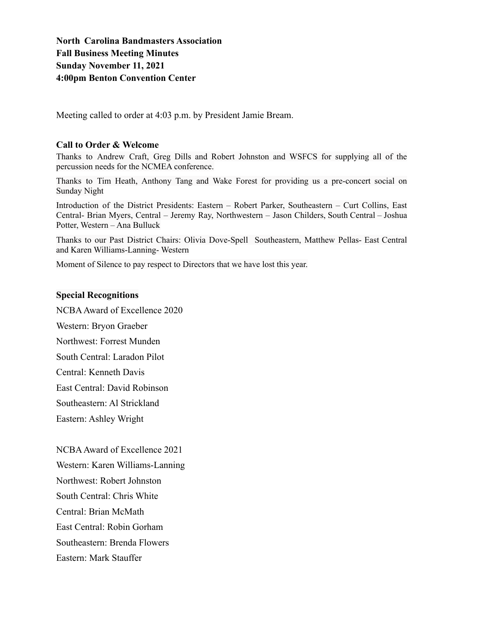**North Carolina Bandmasters Association Fall Business Meeting Minutes Sunday November 11, 2021 4:00pm Benton Convention Center**

Meeting called to order at 4:03 p.m. by President Jamie Bream.

#### **Call to Order & Welcome**

Thanks to Andrew Craft, Greg Dills and Robert Johnston and WSFCS for supplying all of the percussion needs for the NCMEA conference.

Thanks to Tim Heath, Anthony Tang and Wake Forest for providing us a pre-concert social on Sunday Night

Introduction of the District Presidents: Eastern – Robert Parker, Southeastern – Curt Collins, East Central- Brian Myers, Central – Jeremy Ray, Northwestern – Jason Childers, South Central – Joshua Potter, Western – Ana Bulluck

Thanks to our Past District Chairs: Olivia Dove-Spell Southeastern, Matthew Pellas- East Central and Karen Williams-Lanning- Western

Moment of Silence to pay respect to Directors that we have lost this year.

#### **Special Recognitions**

NCBAAward of Excellence 2020

Western: Bryon Graeber

Northwest: Forrest Munden

South Central: Laradon Pilot

Central: Kenneth Davis

East Central: David Robinson

Southeastern: Al Strickland

Eastern: Ashley Wright

NCBA Award of Excellence 2021

Western: Karen Williams-Lanning

Northwest: Robert Johnston

South Central: Chris White

Central: Brian McMath

East Central: Robin Gorham

Southeastern: Brenda Flowers

Eastern: Mark Stauffer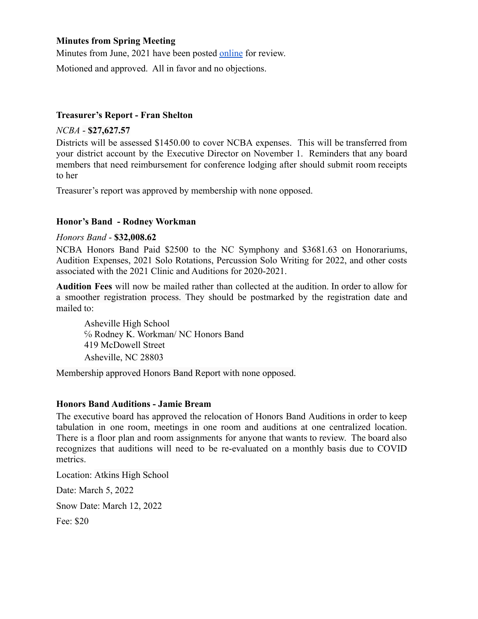### **Minutes from Spring Meeting**

Minutes from June, 2021 have been posted [online](https://www.ncbandmasters.org/documents) for review.

Motioned and approved. All in favor and no objections.

## **Treasurer's Report - Fran Shelton**

*NCBA* - **\$27,627.57**

Districts will be assessed \$1450.00 to cover NCBA expenses. This will be transferred from your district account by the Executive Director on November 1. Reminders that any board members that need reimbursement for conference lodging after should submit room receipts to her

Treasurer's report was approved by membership with none opposed.

# **Honor's Band - Rodney Workman**

## *Honors Band* - **\$32,008.62**

NCBA Honors Band Paid \$2500 to the NC Symphony and \$3681.63 on Honorariums, Audition Expenses, 2021 Solo Rotations, Percussion Solo Writing for 2022, and other costs associated with the 2021 Clinic and Auditions for 2020-2021.

**Audition Fees** will now be mailed rather than collected at the audition. In order to allow for a smoother registration process. They should be postmarked by the registration date and mailed to:

Asheville High School ℅ Rodney K. Workman/ NC Honors Band 419 McDowell Street Asheville, NC 28803

Membership approved Honors Band Report with none opposed.

# **Honors Band Auditions - Jamie Bream**

The executive board has approved the relocation of Honors Band Auditions in order to keep tabulation in one room, meetings in one room and auditions at one centralized location. There is a floor plan and room assignments for anyone that wants to review. The board also recognizes that auditions will need to be re-evaluated on a monthly basis due to COVID metrics.

Location: Atkins High School

Date: March 5, 2022

Snow Date: March 12, 2022

Fee: \$20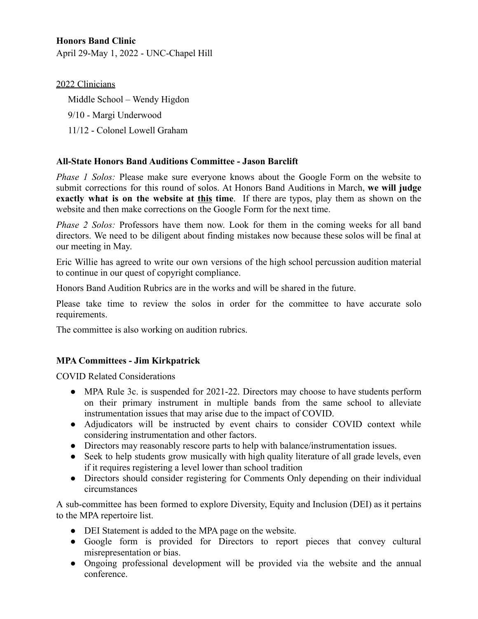# **Honors Band Clinic**

April 29-May 1, 2022 - UNC-Chapel Hill

### 2022 Clinicians

Middle School – Wendy Higdon

- 9/10 Margi Underwood
- 11/12 Colonel Lowell Graham

## **All-State Honors Band Auditions Committee - Jason Barclift**

*Phase 1 Solos:* Please make sure everyone knows about the Google Form on the website to submit corrections for this round of solos. At Honors Band Auditions in March, **we will judge exactly what is on the website at this time**. If there are typos, play them as shown on the website and then make corrections on the Google Form for the next time.

*Phase 2 Solos:* Professors have them now. Look for them in the coming weeks for all band directors. We need to be diligent about finding mistakes now because these solos will be final at our meeting in May.

Eric Willie has agreed to write our own versions of the high school percussion audition material to continue in our quest of copyright compliance.

Honors Band Audition Rubrics are in the works and will be shared in the future.

Please take time to review the solos in order for the committee to have accurate solo requirements.

The committee is also working on audition rubrics.

### **MPA Committees - Jim Kirkpatrick**

COVID Related Considerations

- MPA Rule 3c. is suspended for 2021-22. Directors may choose to have students perform on their primary instrument in multiple bands from the same school to alleviate instrumentation issues that may arise due to the impact of COVID.
- Adjudicators will be instructed by event chairs to consider COVID context while considering instrumentation and other factors.
- Directors may reasonably rescore parts to help with balance/instrumentation issues.
- Seek to help students grow musically with high quality literature of all grade levels, even if it requires registering a level lower than school tradition
- Directors should consider registering for Comments Only depending on their individual circumstances

A sub-committee has been formed to explore Diversity, Equity and Inclusion (DEI) as it pertains to the MPA repertoire list.

- DEI Statement is added to the MPA page on the website.
- Google form is provided for Directors to report pieces that convey cultural misrepresentation or bias.
- Ongoing professional development will be provided via the website and the annual conference.